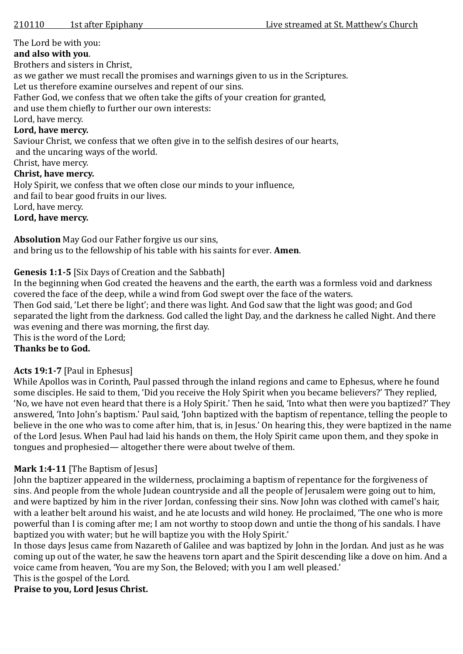The Lord be with you:

### **and also with you**.

Brothers and sisters in Christ,

as we gather we must recall the promises and warnings given to us in the Scriptures.

Let us therefore examine ourselves and repent of our sins.

Father God, we confess that we often take the gifts of your creation for granted,

and use them chiefly to further our own interests:

Lord, have mercy.

### **Lord, have mercy.**

Saviour Christ, we confess that we often give in to the selfish desires of our hearts, and the uncaring ways of the world.

Christ, have mercy.

#### **Christ, have mercy.**

Holy Spirit, we confess that we often close our minds to your influence,

and fail to bear good fruits in our lives.

Lord, have mercy.

## **Lord, have mercy.**

**Absolution** May God our Father forgive us our sins,

and bring us to the fellowship of his table with his saints for ever. **Amen**.

### **Genesis 1:1-5** [Six Days of Creation and the Sabbath]

In the beginning when God created the heavens and the earth, the earth was a formless void and darkness covered the face of the deep, while a wind from God swept over the face of the waters.

Then God said, 'Let there be light'; and there was light. And God saw that the light was good; and God separated the light from the darkness. God called the light Day, and the darkness he called Night. And there was evening and there was morning, the first day.

This is the word of the Lord;

## **Thanks be to God.**

## **Acts 19:1-7** [Paul in Ephesus]

While Apollos was in Corinth, Paul passed through the inland regions and came to Ephesus, where he found some disciples. He said to them, 'Did you receive the Holy Spirit when you became believers?' They replied, 'No, we have not even heard that there is a Holy Spirit.' Then he said, 'Into what then were you baptized?' They answered, 'Into John's baptism.' Paul said, 'John baptized with the baptism of repentance, telling the people to believe in the one who was to come after him, that is, in Jesus.' On hearing this, they were baptized in the name of the Lord Jesus. When Paul had laid his hands on them, the Holy Spirit came upon them, and they spoke in tongues and prophesied— altogether there were about twelve of them.

## **Mark 1:4-11** [The Baptism of Jesus]

John the baptizer appeared in the wilderness, proclaiming a baptism of repentance for the forgiveness of sins. And people from the whole Judean countryside and all the people of Jerusalem were going out to him, and were baptized by him in the river Jordan, confessing their sins. Now John was clothed with camel's hair, with a leather belt around his waist, and he ate locusts and wild honey. He proclaimed, 'The one who is more powerful than I is coming after me; I am not worthy to stoop down and untie the thong of his sandals. I have baptized you with water; but he will baptize you with the Holy Spirit.'

In those days Jesus came from Nazareth of Galilee and was baptized by John in the Jordan. And just as he was coming up out of the water, he saw the heavens torn apart and the Spirit descending like a dove on him. And a voice came from heaven, 'You are my Son, the Beloved; with you I am well pleased.'

This is the gospel of the Lord.

## **Praise to you, Lord Jesus Christ.**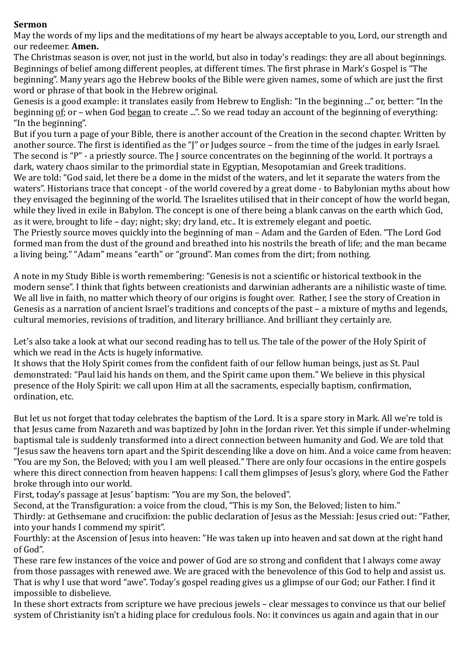### **Sermon**

May the words of my lips and the meditations of my heart be always acceptable to you, Lord, our strength and our redeemer. **Amen.**

The Christmas season is over, not just in the world, but also in today's readings: they are all about beginnings. Beginnings of belief among different peoples, at different times. The first phrase in Mark's Gospel is "The beginning". Many years ago the Hebrew books of the Bible were given names, some of which are just the first word or phrase of that book in the Hebrew original.

Genesis is a good example: it translates easily from Hebrew to English: "In the beginning ..." or, better: "In the beginning of; or – when God began to create ...". So we read today an account of the beginning of everything: "In the beginning".

But if you turn a page of your Bible, there is another account of the Creation in the second chapter. Written by another source. The first is identified as the "J" or Judges source – from the time of the judges in early Israel. The second is "P" - a priestly source. The J source concentrates on the beginning of the world. It portrays a dark, watery chaos similar to the primordial state in Egyptian, Mesopotamian and Greek traditions. We are told: "God said, let there be a dome in the midst of the waters, and let it separate the waters from the waters". Historians trace that concept - of the world covered by a great dome - to Babylonian myths about how they envisaged the beginning of the world. The Israelites utilised that in their concept of how the world began, while they lived in exile in Babylon. The concept is one of there being a blank canvas on the earth which God, as it were, brought to life – day; night; sky; dry land, etc.. It is extremely elegant and poetic.

The Priestly source moves quickly into the beginning of man – Adam and the Garden of Eden. "The Lord God formed man from the dust of the ground and breathed into his nostrils the breath of life; and the man became a living being." "Adam" means "earth" or "ground". Man comes from the dirt; from nothing.

A note in my Study Bible is worth remembering: "Genesis is not a scientific or historical textbook in the modern sense". I think that fights between creationists and darwinian adherants are a nihilistic waste of time. We all live in faith, no matter which theory of our origins is fought over. Rather, I see the story of Creation in Genesis as a narration of ancient Israel's traditions and concepts of the past – a mixture of myths and legends, cultural memories, revisions of tradition, and literary brilliance. And brilliant they certainly are.

Let's also take a look at what our second reading has to tell us. The tale of the power of the Holy Spirit of which we read in the Acts is hugely informative.

It shows that the Holy Spirit comes from the confident faith of our fellow human beings, just as St. Paul demonstrated: "Paul laid his hands on them, and the Spirit came upon them." We believe in this physical presence of the Holy Spirit: we call upon Him at all the sacraments, especially baptism, confirmation, ordination, etc.

But let us not forget that today celebrates the baptism of the Lord. It is a spare story in Mark. All we're told is that Jesus came from Nazareth and was baptized by John in the Jordan river. Yet this simple if under-whelming baptismal tale is suddenly transformed into a direct connection between humanity and God. We are told that "Jesus saw the heavens torn apart and the Spirit descending like a dove on him. And a voice came from heaven: "You are my Son, the Beloved; with you I am well pleased." There are only four occasions in the entire gospels where this direct connection from heaven happens: I call them glimpses of Jesus's glory, where God the Father broke through into our world.

First, today's passage at Jesus' baptism: "You are my Son, the beloved".

Second, at the Transfiguration: a voice from the cloud, "This is my Son, the Beloved; listen to him."

Thirdly: at Gethsemane and crucifixion: the public declaration of Jesus as the Messiah: Jesus cried out: "Father, into your hands I commend my spirit".

Fourthly: at the Ascension of Jesus into heaven: "He was taken up into heaven and sat down at the right hand of God".

These rare few instances of the voice and power of God are so strong and confident that I always come away from those passages with renewed awe. We are graced with the benevolence of this God to help and assist us. That is why I use that word "awe". Today's gospel reading gives us a glimpse of our God; our Father. I find it impossible to disbelieve.

In these short extracts from scripture we have precious jewels – clear messages to convince us that our belief system of Christianity isn't a hiding place for credulous fools. No: it convinces us again and again that in our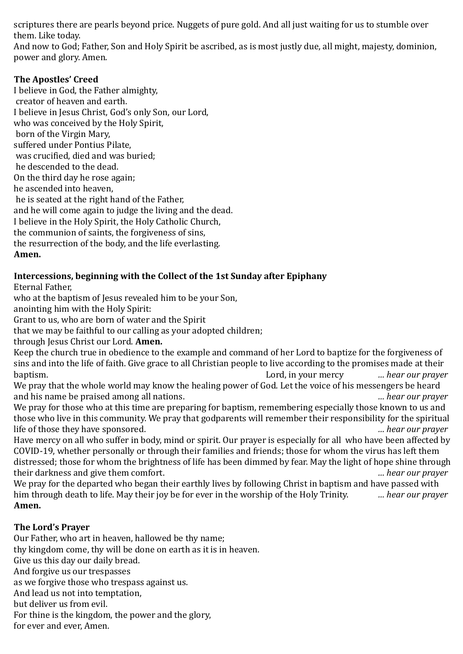scriptures there are pearls beyond price. Nuggets of pure gold. And all just waiting for us to stumble over them. Like today.

And now to God; Father, Son and Holy Spirit be ascribed, as is most justly due, all might, majesty, dominion, power and glory. Amen.

## **The Apostles' Creed**

I believe in God, the Father almighty, creator of heaven and earth. I believe in Jesus Christ, God's only Son, our Lord, who was conceived by the Holy Spirit, born of the Virgin Mary, suffered under Pontius Pilate, was crucified, died and was buried; he descended to the dead. On the third day he rose again; he ascended into heaven, he is seated at the right hand of the Father, and he will come again to judge the living and the dead. I believe in the Holy Spirit, the Holy Catholic Church, the communion of saints, the forgiveness of sins, the resurrection of the body, and the life everlasting. **Amen.** 

# **Intercessions, beginning with the Collect of the 1st Sunday after Epiphany**

Eternal Father,

who at the baptism of Jesus revealed him to be your Son,

anointing him with the Holy Spirit:

Grant to us, who are born of water and the Spirit

that we may be faithful to our calling as your adopted children;

through Jesus Christ our Lord. **Amen.**

Keep the church true in obedience to the example and command of her Lord to baptize for the forgiveness of sins and into the life of faith. Give grace to all Christian people to live according to the promises made at their baptism. Lord, in your mercy *… hear our prayer*

We pray that the whole world may know the healing power of God. Let the voice of his messengers be heard and his name be praised among all nations. *… hear our prayer*

We pray for those who at this time are preparing for baptism, remembering especially those known to us and those who live in this community. We pray that godparents will remember their responsibility for the spiritual life of those they have sponsored. *… hear our prayer*

Have mercy on all who suffer in body, mind or spirit. Our prayer is especially for all who have been affected by COVID-19, whether personally or through their families and friends; those for whom the virus has left them distressed; those for whom the brightness of life has been dimmed by fear. May the light of hope shine through their darkness and give them comfort. *… hear our prayer*

We pray for the departed who began their earthly lives by following Christ in baptism and have passed with him through death to life. May their joy be for ever in the worship of the Holy Trinity. *… hear our prayer* **Amen.**

## **The Lord's Prayer**

Our Father, who art in heaven, hallowed be thy name; thy kingdom come, thy will be done on earth as it is in heaven. Give us this day our daily bread. And forgive us our trespasses as we forgive those who trespass against us. And lead us not into temptation, but deliver us from evil. For thine is the kingdom, the power and the glory, for ever and ever, Amen.